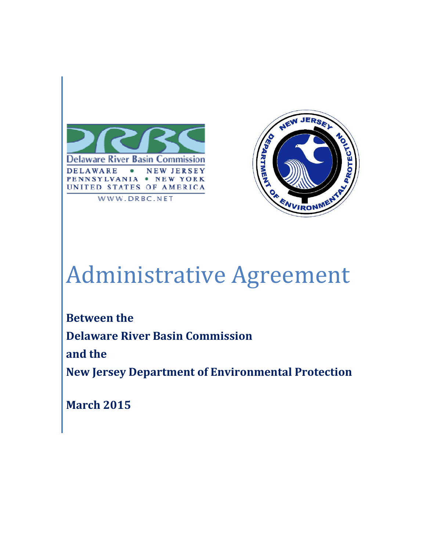



# Administrative Agreement

**Between the**

**Delaware River Basin Commission**

**and the**

**New Jersey Department of Environmental Protection**

**March 2015**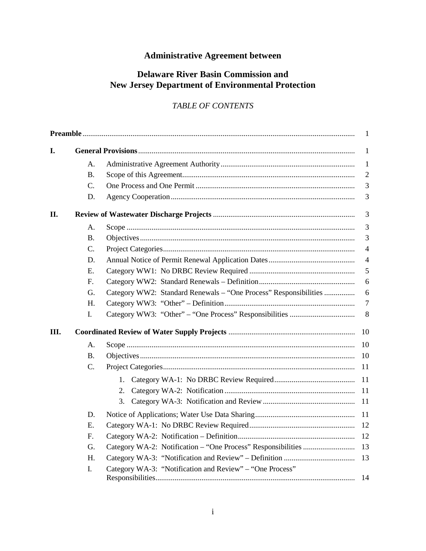# **Administrative Agreement between**

# **Delaware River Basin Commission and New Jersey Department of Environmental Protection**

# *TABLE OF CONTENTS*

| 1    |           |                                                                  |                |
|------|-----------|------------------------------------------------------------------|----------------|
| I.   |           |                                                                  |                |
|      | A.        |                                                                  | 1              |
|      | <b>B.</b> |                                                                  | $\overline{2}$ |
|      | C.        |                                                                  | 3              |
|      | D.        |                                                                  | 3              |
| II.  |           |                                                                  | 3              |
|      | A.        |                                                                  | 3              |
|      | <b>B.</b> |                                                                  | 3              |
|      | C.        |                                                                  | 4              |
|      | D.        |                                                                  | $\overline{4}$ |
|      | Е.        |                                                                  | 5              |
|      | F.        |                                                                  | 6              |
|      | G.        | Category WW2: Standard Renewals - "One Process" Responsibilities | 6              |
|      | Н.        |                                                                  | $\tau$         |
|      | I.        |                                                                  | 8              |
| III. |           |                                                                  | 10             |
|      | A.        |                                                                  | -10            |
|      | <b>B.</b> |                                                                  | 10             |
|      | C.        |                                                                  | 11             |
|      |           | 1.                                                               | 11             |
|      |           | 2.                                                               |                |
|      |           | 3.                                                               |                |
|      | D.        |                                                                  |                |
|      | Ε.        |                                                                  |                |
|      | F.        |                                                                  |                |
|      | G.        |                                                                  |                |
|      | H.        |                                                                  | 13             |
|      | I.        | Category WA-3: "Notification and Review" - "One Process"         | -14            |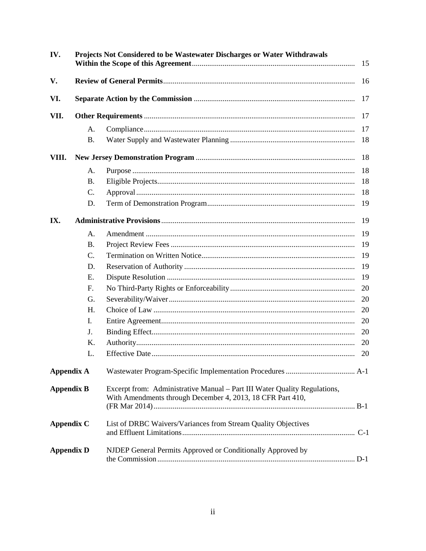| IV.               | Projects Not Considered to be Wastewater Discharges or Water Withdrawals |                                                                                                                                         | 15        |
|-------------------|--------------------------------------------------------------------------|-----------------------------------------------------------------------------------------------------------------------------------------|-----------|
| V.                |                                                                          |                                                                                                                                         | 16        |
| VI.               |                                                                          |                                                                                                                                         |           |
| VII.              |                                                                          |                                                                                                                                         |           |
|                   | A.                                                                       |                                                                                                                                         | 17        |
|                   | <b>B.</b>                                                                |                                                                                                                                         | 18        |
| VIII.             |                                                                          |                                                                                                                                         | 18        |
|                   | A.                                                                       |                                                                                                                                         | 18        |
|                   | <b>B.</b>                                                                |                                                                                                                                         | 18        |
|                   | C.                                                                       |                                                                                                                                         | 18        |
|                   | D.                                                                       |                                                                                                                                         | 19        |
| IX.               |                                                                          |                                                                                                                                         | 19        |
|                   | A.                                                                       |                                                                                                                                         | 19        |
|                   | <b>B.</b>                                                                |                                                                                                                                         | 19        |
|                   | $C$ .                                                                    |                                                                                                                                         | 19        |
|                   | D.                                                                       |                                                                                                                                         | 19        |
|                   | E.                                                                       |                                                                                                                                         | 19        |
|                   | F.                                                                       |                                                                                                                                         | 20        |
|                   | G.                                                                       |                                                                                                                                         | <b>20</b> |
|                   | H.                                                                       |                                                                                                                                         | 20        |
|                   | I.                                                                       |                                                                                                                                         | 20        |
|                   | J.                                                                       |                                                                                                                                         | 20        |
|                   | K.                                                                       |                                                                                                                                         | <b>20</b> |
|                   | L.                                                                       |                                                                                                                                         | 20        |
| <b>Appendix A</b> |                                                                          |                                                                                                                                         |           |
| <b>Appendix B</b> |                                                                          | Excerpt from: Administrative Manual – Part III Water Quality Regulations,<br>With Amendments through December 4, 2013, 18 CFR Part 410, |           |
|                   | <b>Appendix C</b>                                                        | List of DRBC Waivers/Variances from Stream Quality Objectives                                                                           |           |
| <b>Appendix D</b> |                                                                          | NJDEP General Permits Approved or Conditionally Approved by                                                                             |           |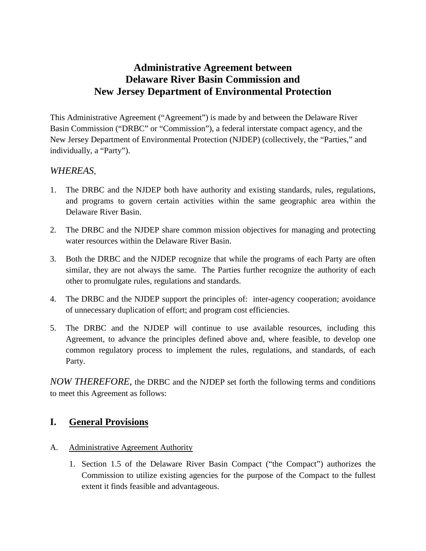# **Administrative Agreement between Delaware River Basin Commission and New Jersey Department of Environmental Protection**

This Administrative Agreement ("Agreement") is made by and between the Delaware River Basin Commission ("DRBC" or "Commission"), a federal interstate compact agency, and the New Jersey Department of Environmental Protection (NJDEP) (collectively, the "Parties," and individually, a "Party").

# *WHEREAS,*

- 1. The DRBC and the NJDEP both have authority and existing standards, rules, regulations, and programs to govern certain activities within the same geographic area within the Delaware River Basin.
- 2. The DRBC and the NJDEP share common mission objectives for managing and protecting water resources within the Delaware River Basin.
- 3. Both the DRBC and the NJDEP recognize that while the programs of each Party are often similar, they are not always the same. The Parties further recognize the authority of each other to promulgate rules, regulations and standards.
- 4. The DRBC and the NJDEP support the principles of: inter-agency cooperation; avoidance of unnecessary duplication of effort; and program cost efficiencies.
- 5. The DRBC and the NJDEP will continue to use available resources, including this Agreement, to advance the principles defined above and, where feasible, to develop one common regulatory process to implement the rules, regulations, and standards, of each Party.

*NOW THEREFORE*, the DRBC and the NJDEP set forth the following terms and conditions to meet this Agreement as follows:

# **I. General Provisions**

- A. Administrative Agreement Authority
	- 1. Section 1.5 of the Delaware River Basin Compact ("the Compact") authorizes the Commission to utilize existing agencies for the purpose of the Compact to the fullest extent it finds feasible and advantageous.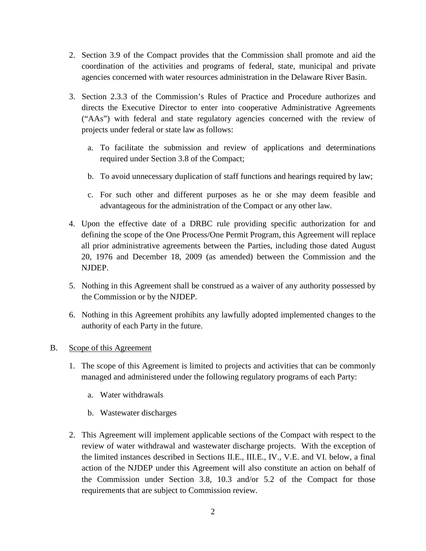- 2. Section 3.9 of the Compact provides that the Commission shall promote and aid the coordination of the activities and programs of federal, state, municipal and private agencies concerned with water resources administration in the Delaware River Basin.
- 3. Section 2.3.3 of the Commission's Rules of Practice and Procedure authorizes and directs the Executive Director to enter into cooperative Administrative Agreements ("AAs") with federal and state regulatory agencies concerned with the review of projects under federal or state law as follows:
	- a. To facilitate the submission and review of applications and determinations required under Section 3.8 of the Compact;
	- b. To avoid unnecessary duplication of staff functions and hearings required by law;
	- c. For such other and different purposes as he or she may deem feasible and advantageous for the administration of the Compact or any other law.
- 4. Upon the effective date of a DRBC rule providing specific authorization for and defining the scope of the One Process/One Permit Program, this Agreement will replace all prior administrative agreements between the Parties, including those dated August 20, 1976 and December 18, 2009 (as amended) between the Commission and the NJDEP.
- 5. Nothing in this Agreement shall be construed as a waiver of any authority possessed by the Commission or by the NJDEP.
- 6. Nothing in this Agreement prohibits any lawfully adopted implemented changes to the authority of each Party in the future.

#### B. Scope of this Agreement

- 1. The scope of this Agreement is limited to projects and activities that can be commonly managed and administered under the following regulatory programs of each Party:
	- a. Water withdrawals
	- b. Wastewater discharges
- 2. This Agreement will implement applicable sections of the Compact with respect to the review of water withdrawal and wastewater discharge projects. With the exception of the limited instances described in Sections II.E., III.E., IV., V.E. and VI. below, a final action of the NJDEP under this Agreement will also constitute an action on behalf of the Commission under Section 3.8, 10.3 and/or 5.2 of the Compact for those requirements that are subject to Commission review.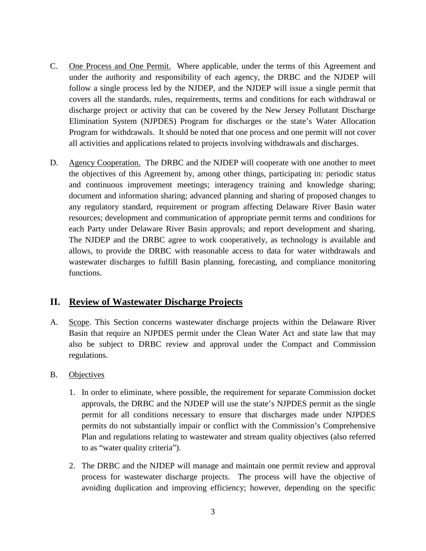- C. One Process and One Permit. Where applicable, under the terms of this Agreement and under the authority and responsibility of each agency, the DRBC and the NJDEP will follow a single process led by the NJDEP, and the NJDEP will issue a single permit that covers all the standards, rules, requirements, terms and conditions for each withdrawal or discharge project or activity that can be covered by the New Jersey Pollutant Discharge Elimination System (NJPDES) Program for discharges or the state's Water Allocation Program for withdrawals. It should be noted that one process and one permit will not cover all activities and applications related to projects involving withdrawals and discharges.
- D. Agency Cooperation. The DRBC and the NJDEP will cooperate with one another to meet the objectives of this Agreement by, among other things, participating in: periodic status and continuous improvement meetings; interagency training and knowledge sharing; document and information sharing; advanced planning and sharing of proposed changes to any regulatory standard, requirement or program affecting Delaware River Basin water resources; development and communication of appropriate permit terms and conditions for each Party under Delaware River Basin approvals; and report development and sharing. The NJDEP and the DRBC agree to work cooperatively, as technology is available and allows, to provide the DRBC with reasonable access to data for water withdrawals and wastewater discharges to fulfill Basin planning, forecasting, and compliance monitoring functions.

# **II. Review of Wastewater Discharge Projects**

A. Scope. This Section concerns wastewater discharge projects within the Delaware River Basin that require an NJPDES permit under the Clean Water Act and state law that may also be subject to DRBC review and approval under the Compact and Commission regulations.

#### B. Objectives

- 1. In order to eliminate, where possible, the requirement for separate Commission docket approvals, the DRBC and the NJDEP will use the state's NJPDES permit as the single permit for all conditions necessary to ensure that discharges made under NJPDES permits do not substantially impair or conflict with the Commission's Comprehensive Plan and regulations relating to wastewater and stream quality objectives (also referred to as "water quality criteria").
- 2. The DRBC and the NJDEP will manage and maintain one permit review and approval process for wastewater discharge projects. The process will have the objective of avoiding duplication and improving efficiency; however, depending on the specific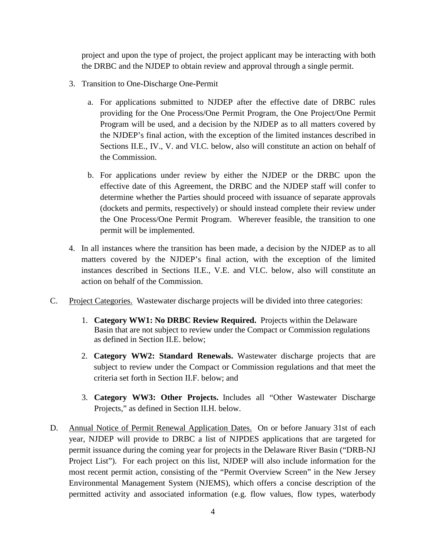project and upon the type of project, the project applicant may be interacting with both the DRBC and the NJDEP to obtain review and approval through a single permit.

- 3. Transition to One-Discharge One-Permit
	- a. For applications submitted to NJDEP after the effective date of DRBC rules providing for the One Process/One Permit Program, the One Project/One Permit Program will be used, and a decision by the NJDEP as to all matters covered by the NJDEP's final action, with the exception of the limited instances described in Sections II.E., IV., V. and VI.C. below, also will constitute an action on behalf of the Commission.
	- b. For applications under review by either the NJDEP or the DRBC upon the effective date of this Agreement, the DRBC and the NJDEP staff will confer to determine whether the Parties should proceed with issuance of separate approvals (dockets and permits, respectively) or should instead complete their review under the One Process/One Permit Program. Wherever feasible, the transition to one permit will be implemented.
- 4. In all instances where the transition has been made, a decision by the NJDEP as to all matters covered by the NJDEP's final action, with the exception of the limited instances described in Sections II.E., V.E. and VI.C. below, also will constitute an action on behalf of the Commission.
- C. Project Categories. Wastewater discharge projects will be divided into three categories:
	- 1. **Category WW1: No DRBC Review Required.** Projects within the Delaware Basin that are not subject to review under the Compact or Commission regulations as defined in Section II.E. below;
	- 2. **Category WW2: Standard Renewals.** Wastewater discharge projects that are subject to review under the Compact or Commission regulations and that meet the criteria set forth in Section II.F. below; and
	- 3. **Category WW3: Other Projects.** Includes all "Other Wastewater Discharge Projects," as defined in Section II.H. below.
- D. Annual Notice of Permit Renewal Application Dates. On or before January 31st of each year, NJDEP will provide to DRBC a list of NJPDES applications that are targeted for permit issuance during the coming year for projects in the Delaware River Basin ("DRB-NJ Project List"). For each project on this list, NJDEP will also include information for the most recent permit action, consisting of the "Permit Overview Screen" in the New Jersey Environmental Management System (NJEMS), which offers a concise description of the permitted activity and associated information (e.g. flow values, flow types, waterbody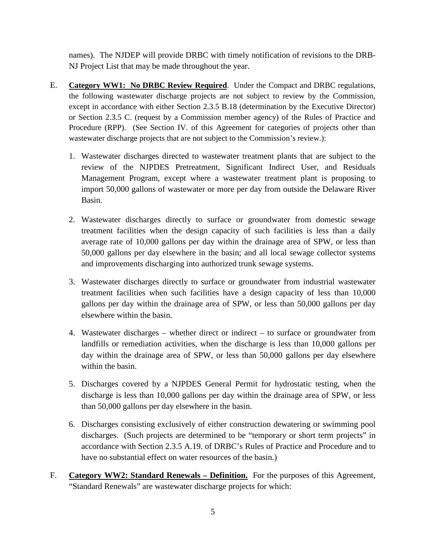names). The NJDEP will provide DRBC with timely notification of revisions to the DRB-NJ Project List that may be made throughout the year.

- E. **Category WW1: No DRBC Review Required**. Under the Compact and DRBC regulations, the following wastewater discharge projects are not subject to review by the Commission, except in accordance with either Section 2.3.5 B.18 (determination by the Executive Director) or Section 2.3.5 C. (request by a Commission member agency) of the Rules of Practice and Procedure (RPP). (See Section IV. of this Agreement for categories of projects other than wastewater discharge projects that are not subject to the Commission's review.):
	- 1. Wastewater discharges directed to wastewater treatment plants that are subject to the review of the NJPDES Pretreatment, Significant Indirect User, and Residuals Management Program, except where a wastewater treatment plant is proposing to import 50,000 gallons of wastewater or more per day from outside the Delaware River Basin.
	- 2. Wastewater discharges directly to surface or groundwater from domestic sewage treatment facilities when the design capacity of such facilities is less than a daily average rate of 10,000 gallons per day within the drainage area of SPW, or less than 50,000 gallons per day elsewhere in the basin; and all local sewage collector systems and improvements discharging into authorized trunk sewage systems.
	- 3. Wastewater discharges directly to surface or groundwater from industrial wastewater treatment facilities when such facilities have a design capacity of less than 10,000 gallons per day within the drainage area of SPW, or less than 50,000 gallons per day elsewhere within the basin.
	- 4. Wastewater discharges whether direct or indirect to surface or groundwater from landfills or remediation activities, when the discharge is less than 10,000 gallons per day within the drainage area of SPW, or less than 50,000 gallons per day elsewhere within the basin.
	- 5. Discharges covered by a NJPDES General Permit for hydrostatic testing, when the discharge is less than 10,000 gallons per day within the drainage area of SPW, or less than 50,000 gallons per day elsewhere in the basin.
	- 6. Discharges consisting exclusively of either construction dewatering or swimming pool discharges. (Such projects are determined to be "temporary or short term projects" in accordance with Section 2.3.5 A.19. of DRBC's Rules of Practice and Procedure and to have no substantial effect on water resources of the basin.)
- F. **Category WW2: Standard Renewals Definition.** For the purposes of this Agreement, "Standard Renewals" are wastewater discharge projects for which: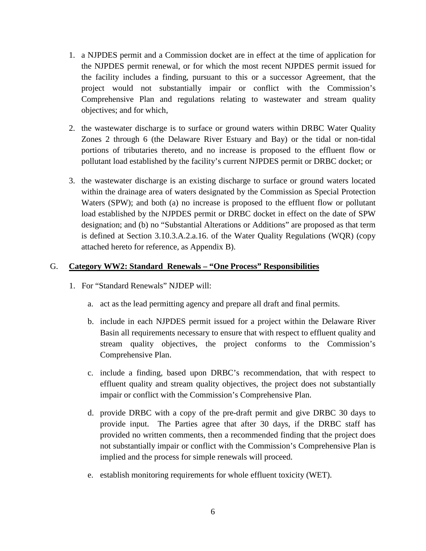- 1. a NJPDES permit and a Commission docket are in effect at the time of application for the NJPDES permit renewal, or for which the most recent NJPDES permit issued for the facility includes a finding, pursuant to this or a successor Agreement, that the project would not substantially impair or conflict with the Commission's Comprehensive Plan and regulations relating to wastewater and stream quality objectives; and for which,
- 2. the wastewater discharge is to surface or ground waters within DRBC Water Quality Zones 2 through 6 (the Delaware River Estuary and Bay) or the tidal or non-tidal portions of tributaries thereto, and no increase is proposed to the effluent flow or pollutant load established by the facility's current NJPDES permit or DRBC docket; or
- 3. the wastewater discharge is an existing discharge to surface or ground waters located within the drainage area of waters designated by the Commission as Special Protection Waters (SPW); and both (a) no increase is proposed to the effluent flow or pollutant load established by the NJPDES permit or DRBC docket in effect on the date of SPW designation; and (b) no "Substantial Alterations or Additions" are proposed as that term is defined at Section 3.10.3.A.2.a.16. of the Water Quality Regulations (WQR) (copy attached hereto for reference, as Appendix B).

#### G. **Category WW2: Standard Renewals – "One Process" Responsibilities**

- 1. For "Standard Renewals" NJDEP will:
	- a. act as the lead permitting agency and prepare all draft and final permits.
	- b. include in each NJPDES permit issued for a project within the Delaware River Basin all requirements necessary to ensure that with respect to effluent quality and stream quality objectives, the project conforms to the Commission's Comprehensive Plan.
	- c. include a finding, based upon DRBC's recommendation, that with respect to effluent quality and stream quality objectives, the project does not substantially impair or conflict with the Commission's Comprehensive Plan.
	- d. provide DRBC with a copy of the pre-draft permit and give DRBC 30 days to provide input. The Parties agree that after 30 days, if the DRBC staff has provided no written comments, then a recommended finding that the project does not substantially impair or conflict with the Commission's Comprehensive Plan is implied and the process for simple renewals will proceed.
	- e. establish monitoring requirements for whole effluent toxicity (WET).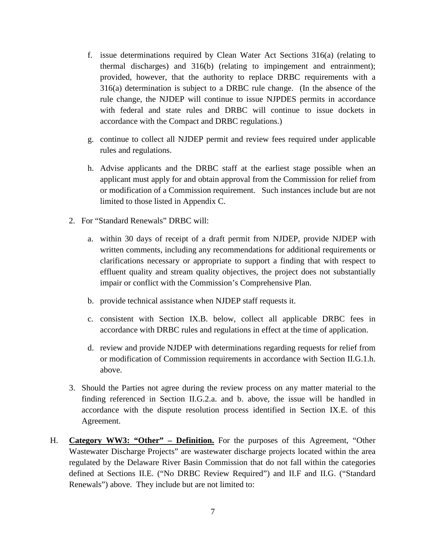- f. issue determinations required by Clean Water Act Sections 316(a) (relating to thermal discharges) and 316(b) (relating to impingement and entrainment); provided, however, that the authority to replace DRBC requirements with a 316(a) determination is subject to a DRBC rule change. (In the absence of the rule change, the NJDEP will continue to issue NJPDES permits in accordance with federal and state rules and DRBC will continue to issue dockets in accordance with the Compact and DRBC regulations.)
- g. continue to collect all NJDEP permit and review fees required under applicable rules and regulations.
- h. Advise applicants and the DRBC staff at the earliest stage possible when an applicant must apply for and obtain approval from the Commission for relief from or modification of a Commission requirement. Such instances include but are not limited to those listed in Appendix C.
- 2. For "Standard Renewals" DRBC will:
	- a. within 30 days of receipt of a draft permit from NJDEP, provide NJDEP with written comments, including any recommendations for additional requirements or clarifications necessary or appropriate to support a finding that with respect to effluent quality and stream quality objectives, the project does not substantially impair or conflict with the Commission's Comprehensive Plan.
	- b. provide technical assistance when NJDEP staff requests it.
	- c. consistent with Section IX.B. below, collect all applicable DRBC fees in accordance with DRBC rules and regulations in effect at the time of application.
	- d. review and provide NJDEP with determinations regarding requests for relief from or modification of Commission requirements in accordance with Section II.G.1.h. above.
- 3. Should the Parties not agree during the review process on any matter material to the finding referenced in Section II.G.2.a. and b. above, the issue will be handled in accordance with the dispute resolution process identified in Section IX.E. of this Agreement.
- H. **Category WW3: "Other" Definition.** For the purposes of this Agreement, "Other Wastewater Discharge Projects" are wastewater discharge projects located within the area regulated by the Delaware River Basin Commission that do not fall within the categories defined at Sections II.E. ("No DRBC Review Required") and II.F and II.G. ("Standard Renewals") above. They include but are not limited to: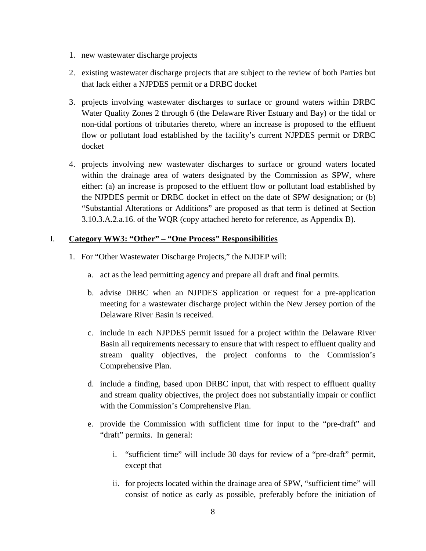- 1. new wastewater discharge projects
- 2. existing wastewater discharge projects that are subject to the review of both Parties but that lack either a NJPDES permit or a DRBC docket
- 3. projects involving wastewater discharges to surface or ground waters within DRBC Water Quality Zones 2 through 6 (the Delaware River Estuary and Bay) or the tidal or non-tidal portions of tributaries thereto, where an increase is proposed to the effluent flow or pollutant load established by the facility's current NJPDES permit or DRBC docket
- 4. projects involving new wastewater discharges to surface or ground waters located within the drainage area of waters designated by the Commission as SPW, where either: (a) an increase is proposed to the effluent flow or pollutant load established by the NJPDES permit or DRBC docket in effect on the date of SPW designation; or (b) "Substantial Alterations or Additions" are proposed as that term is defined at Section 3.10.3.A.2.a.16. of the WQR (copy attached hereto for reference, as Appendix B).

#### I. **Category WW3: "Other" – "One Process" Responsibilities**

- 1. For "Other Wastewater Discharge Projects," the NJDEP will:
	- a. act as the lead permitting agency and prepare all draft and final permits.
	- b. advise DRBC when an NJPDES application or request for a pre-application meeting for a wastewater discharge project within the New Jersey portion of the Delaware River Basin is received.
	- c. include in each NJPDES permit issued for a project within the Delaware River Basin all requirements necessary to ensure that with respect to effluent quality and stream quality objectives, the project conforms to the Commission's Comprehensive Plan.
	- d. include a finding, based upon DRBC input, that with respect to effluent quality and stream quality objectives, the project does not substantially impair or conflict with the Commission's Comprehensive Plan.
	- e. provide the Commission with sufficient time for input to the "pre-draft" and "draft" permits. In general:
		- i. "sufficient time" will include 30 days for review of a "pre-draft" permit, except that
		- ii. for projects located within the drainage area of SPW, "sufficient time" will consist of notice as early as possible, preferably before the initiation of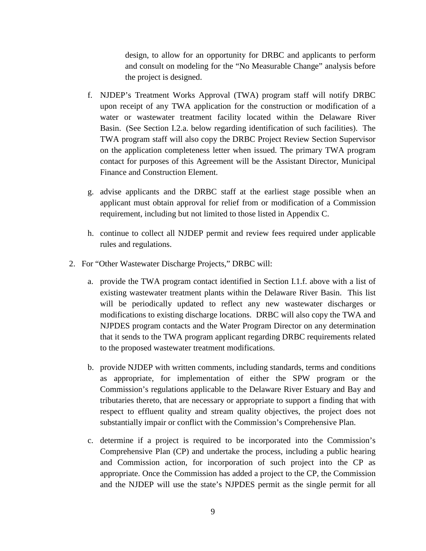design, to allow for an opportunity for DRBC and applicants to perform and consult on modeling for the "No Measurable Change" analysis before the project is designed.

- f. NJDEP's Treatment Works Approval (TWA) program staff will notify DRBC upon receipt of any TWA application for the construction or modification of a water or wastewater treatment facility located within the Delaware River Basin. (See Section I.2.a. below regarding identification of such facilities). The TWA program staff will also copy the DRBC Project Review Section Supervisor on the application completeness letter when issued. The primary TWA program contact for purposes of this Agreement will be the Assistant Director, Municipal Finance and Construction Element.
- g. advise applicants and the DRBC staff at the earliest stage possible when an applicant must obtain approval for relief from or modification of a Commission requirement, including but not limited to those listed in Appendix C.
- h. continue to collect all NJDEP permit and review fees required under applicable rules and regulations.
- 2. For "Other Wastewater Discharge Projects," DRBC will:
	- a. provide the TWA program contact identified in Section I.1.f. above with a list of existing wastewater treatment plants within the Delaware River Basin. This list will be periodically updated to reflect any new wastewater discharges or modifications to existing discharge locations. DRBC will also copy the TWA and NJPDES program contacts and the Water Program Director on any determination that it sends to the TWA program applicant regarding DRBC requirements related to the proposed wastewater treatment modifications.
	- b. provide NJDEP with written comments, including standards, terms and conditions as appropriate, for implementation of either the SPW program or the Commission's regulations applicable to the Delaware River Estuary and Bay and tributaries thereto, that are necessary or appropriate to support a finding that with respect to effluent quality and stream quality objectives, the project does not substantially impair or conflict with the Commission's Comprehensive Plan.
	- c. determine if a project is required to be incorporated into the Commission's Comprehensive Plan (CP) and undertake the process, including a public hearing and Commission action, for incorporation of such project into the CP as appropriate. Once the Commission has added a project to the CP, the Commission and the NJDEP will use the state's NJPDES permit as the single permit for all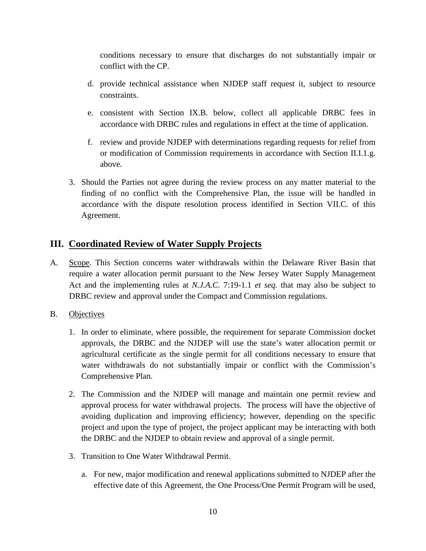conditions necessary to ensure that discharges do not substantially impair or conflict with the CP.

- d. provide technical assistance when NJDEP staff request it, subject to resource constraints.
- e. consistent with Section IX.B. below, collect all applicable DRBC fees in accordance with DRBC rules and regulations in effect at the time of application.
- f. review and provide NJDEP with determinations regarding requests for relief from or modification of Commission requirements in accordance with Section II.I.1.g. above.
- 3. Should the Parties not agree during the review process on any matter material to the finding of no conflict with the Comprehensive Plan, the issue will be handled in accordance with the dispute resolution process identified in Section VII.C. of this Agreement.

# **III. Coordinated Review of Water Supply Projects**

- A. Scope. This Section concerns water withdrawals within the Delaware River Basin that require a water allocation permit pursuant to the New Jersey Water Supply Management Act and the implementing rules at *N.J.A.C.* 7:19-1.1 *et seq.* that may also be subject to DRBC review and approval under the Compact and Commission regulations.
- B. Objectives
	- 1. In order to eliminate, where possible, the requirement for separate Commission docket approvals, the DRBC and the NJDEP will use the state's water allocation permit or agricultural certificate as the single permit for all conditions necessary to ensure that water withdrawals do not substantially impair or conflict with the Commission's Comprehensive Plan.
	- 2. The Commission and the NJDEP will manage and maintain one permit review and approval process for water withdrawal projects. The process will have the objective of avoiding duplication and improving efficiency; however, depending on the specific project and upon the type of project, the project applicant may be interacting with both the DRBC and the NJDEP to obtain review and approval of a single permit.
	- 3. Transition to One Water Withdrawal Permit.
		- a. For new, major modification and renewal applications submitted to NJDEP after the effective date of this Agreement, the One Process/One Permit Program will be used,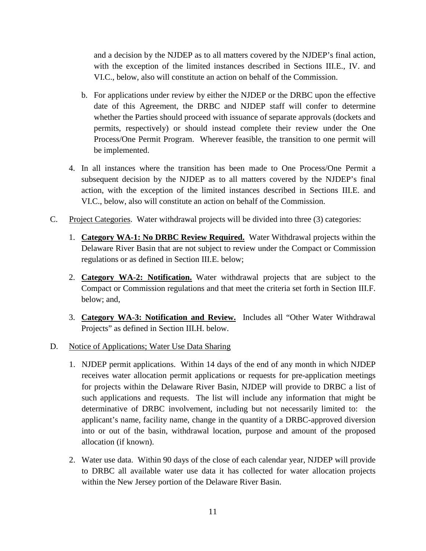and a decision by the NJDEP as to all matters covered by the NJDEP's final action, with the exception of the limited instances described in Sections III.E., IV. and VI.C., below, also will constitute an action on behalf of the Commission.

- b. For applications under review by either the NJDEP or the DRBC upon the effective date of this Agreement, the DRBC and NJDEP staff will confer to determine whether the Parties should proceed with issuance of separate approvals (dockets and permits, respectively) or should instead complete their review under the One Process/One Permit Program. Wherever feasible, the transition to one permit will be implemented.
- 4. In all instances where the transition has been made to One Process/One Permit a subsequent decision by the NJDEP as to all matters covered by the NJDEP's final action, with the exception of the limited instances described in Sections III.E. and VI.C., below, also will constitute an action on behalf of the Commission.
- C. Project Categories. Water withdrawal projects will be divided into three (3) categories:
	- 1. **Category WA-1: No DRBC Review Required.** Water Withdrawal projects within the Delaware River Basin that are not subject to review under the Compact or Commission regulations or as defined in Section III.E. below;
	- 2. **Category WA-2: Notification.** Water withdrawal projects that are subject to the Compact or Commission regulations and that meet the criteria set forth in Section III.F. below; and,
	- 3. **Category WA-3: Notification and Review.** Includes all "Other Water Withdrawal Projects" as defined in Section III.H. below.
- D. Notice of Applications; Water Use Data Sharing
	- 1. NJDEP permit applications. Within 14 days of the end of any month in which NJDEP receives water allocation permit applications or requests for pre-application meetings for projects within the Delaware River Basin, NJDEP will provide to DRBC a list of such applications and requests. The list will include any information that might be determinative of DRBC involvement, including but not necessarily limited to: the applicant's name, facility name, change in the quantity of a DRBC-approved diversion into or out of the basin, withdrawal location, purpose and amount of the proposed allocation (if known).
	- 2. Water use data. Within 90 days of the close of each calendar year, NJDEP will provide to DRBC all available water use data it has collected for water allocation projects within the New Jersey portion of the Delaware River Basin.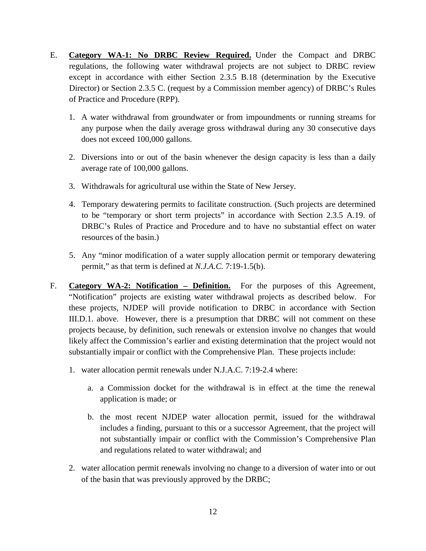- E. **Category WA-1: No DRBC Review Required.** Under the Compact and DRBC regulations, the following water withdrawal projects are not subject to DRBC review except in accordance with either Section 2.3.5 B.18 (determination by the Executive Director) or Section 2.3.5 C. (request by a Commission member agency) of DRBC's Rules of Practice and Procedure (RPP).
	- 1. A water withdrawal from groundwater or from impoundments or running streams for any purpose when the daily average gross withdrawal during any 30 consecutive days does not exceed 100,000 gallons.
	- 2. Diversions into or out of the basin whenever the design capacity is less than a daily average rate of 100,000 gallons.
	- 3. Withdrawals for agricultural use within the State of New Jersey.
	- 4. Temporary dewatering permits to facilitate construction. (Such projects are determined to be "temporary or short term projects" in accordance with Section 2.3.5 A.19. of DRBC's Rules of Practice and Procedure and to have no substantial effect on water resources of the basin.)
	- 5. Any "minor modification of a water supply allocation permit or temporary dewatering permit," as that term is defined at *N.J.A.C.* 7:19-1.5(b).
- F. **Category WA-2: Notification Definition.** For the purposes of this Agreement, "Notification" projects are existing water withdrawal projects as described below. For these projects, NJDEP will provide notification to DRBC in accordance with Section III.D.1. above. However, there is a presumption that DRBC will not comment on these projects because, by definition, such renewals or extension involve no changes that would likely affect the Commission's earlier and existing determination that the project would not substantially impair or conflict with the Comprehensive Plan. These projects include:
	- 1. water allocation permit renewals under N.J.A.C. 7:19-2.4 where:
		- a. a Commission docket for the withdrawal is in effect at the time the renewal application is made; or
		- b. the most recent NJDEP water allocation permit, issued for the withdrawal includes a finding, pursuant to this or a successor Agreement, that the project will not substantially impair or conflict with the Commission's Comprehensive Plan and regulations related to water withdrawal; and
	- 2. water allocation permit renewals involving no change to a diversion of water into or out of the basin that was previously approved by the DRBC;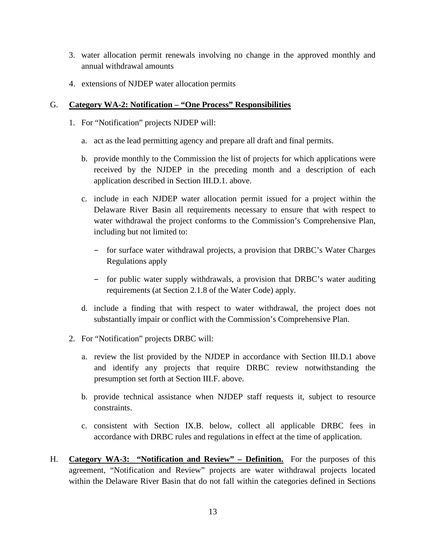- 3. water allocation permit renewals involving no change in the approved monthly and annual withdrawal amounts
- 4. extensions of NJDEP water allocation permits

#### G. **Category WA-2: Notification – "One Process" Responsibilities**

- 1. For "Notification" projects NJDEP will:
	- a. act as the lead permitting agency and prepare all draft and final permits.
	- b. provide monthly to the Commission the list of projects for which applications were received by the NJDEP in the preceding month and a description of each application described in Section III.D.1. above.
	- c. include in each NJDEP water allocation permit issued for a project within the Delaware River Basin all requirements necessary to ensure that with respect to water withdrawal the project conforms to the Commission's Comprehensive Plan, including but not limited to:
		- ‒ for surface water withdrawal projects, a provision that DRBC's Water Charges Regulations apply
		- ‒ for public water supply withdrawals, a provision that DRBC's water auditing requirements (at Section 2.1.8 of the Water Code) apply.
	- d. include a finding that with respect to water withdrawal, the project does not substantially impair or conflict with the Commission's Comprehensive Plan.
- 2. For "Notification" projects DRBC will:
	- a. review the list provided by the NJDEP in accordance with Section III.D.1 above and identify any projects that require DRBC review notwithstanding the presumption set forth at Section III.F. above.
	- b. provide technical assistance when NJDEP staff requests it, subject to resource constraints.
	- c. consistent with Section IX.B. below, collect all applicable DRBC fees in accordance with DRBC rules and regulations in effect at the time of application.
- H. **Category WA-3: "Notification and Review" Definition.** For the purposes of this agreement, "Notification and Review" projects are water withdrawal projects located within the Delaware River Basin that do not fall within the categories defined in Sections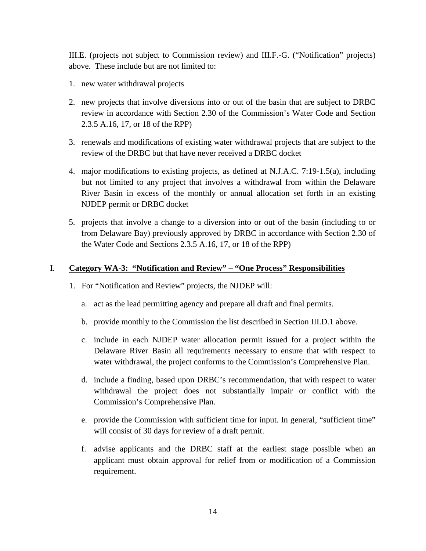III.E. (projects not subject to Commission review) and III.F.-G. ("Notification" projects) above. These include but are not limited to:

- 1. new water withdrawal projects
- 2. new projects that involve diversions into or out of the basin that are subject to DRBC review in accordance with Section 2.30 of the Commission's Water Code and Section 2.3.5 A.16, 17, or 18 of the RPP)
- 3. renewals and modifications of existing water withdrawal projects that are subject to the review of the DRBC but that have never received a DRBC docket
- 4. major modifications to existing projects, as defined at N.J.A.C. 7:19-1.5(a), including but not limited to any project that involves a withdrawal from within the Delaware River Basin in excess of the monthly or annual allocation set forth in an existing NJDEP permit or DRBC docket
- 5. projects that involve a change to a diversion into or out of the basin (including to or from Delaware Bay) previously approved by DRBC in accordance with Section 2.30 of the Water Code and Sections 2.3.5 A.16, 17, or 18 of the RPP)

#### I. **Category WA-3: "Notification and Review" – "One Process" Responsibilities**

- 1. For "Notification and Review" projects, the NJDEP will:
	- a. act as the lead permitting agency and prepare all draft and final permits.
	- b. provide monthly to the Commission the list described in Section III.D.1 above.
	- c. include in each NJDEP water allocation permit issued for a project within the Delaware River Basin all requirements necessary to ensure that with respect to water withdrawal, the project conforms to the Commission's Comprehensive Plan.
	- d. include a finding, based upon DRBC's recommendation, that with respect to water withdrawal the project does not substantially impair or conflict with the Commission's Comprehensive Plan.
	- e. provide the Commission with sufficient time for input. In general, "sufficient time" will consist of 30 days for review of a draft permit.
	- f. advise applicants and the DRBC staff at the earliest stage possible when an applicant must obtain approval for relief from or modification of a Commission requirement.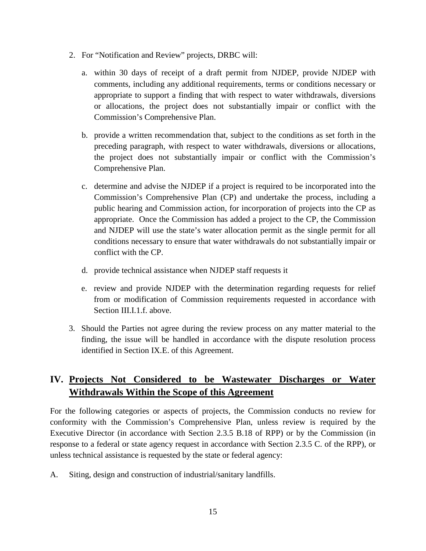- 2. For "Notification and Review" projects, DRBC will:
	- a. within 30 days of receipt of a draft permit from NJDEP, provide NJDEP with comments, including any additional requirements, terms or conditions necessary or appropriate to support a finding that with respect to water withdrawals, diversions or allocations, the project does not substantially impair or conflict with the Commission's Comprehensive Plan.
	- b. provide a written recommendation that, subject to the conditions as set forth in the preceding paragraph, with respect to water withdrawals, diversions or allocations, the project does not substantially impair or conflict with the Commission's Comprehensive Plan.
	- c. determine and advise the NJDEP if a project is required to be incorporated into the Commission's Comprehensive Plan (CP) and undertake the process, including a public hearing and Commission action, for incorporation of projects into the CP as appropriate. Once the Commission has added a project to the CP, the Commission and NJDEP will use the state's water allocation permit as the single permit for all conditions necessary to ensure that water withdrawals do not substantially impair or conflict with the CP.
	- d. provide technical assistance when NJDEP staff requests it
	- e. review and provide NJDEP with the determination regarding requests for relief from or modification of Commission requirements requested in accordance with Section III.I.1.f. above.
- 3. Should the Parties not agree during the review process on any matter material to the finding, the issue will be handled in accordance with the dispute resolution process identified in Section IX.E. of this Agreement.

# **IV. Projects Not Considered to be Wastewater Discharges or Water Withdrawals Within the Scope of this Agreement**

For the following categories or aspects of projects, the Commission conducts no review for conformity with the Commission's Comprehensive Plan, unless review is required by the Executive Director (in accordance with Section 2.3.5 B.18 of RPP) or by the Commission (in response to a federal or state agency request in accordance with Section 2.3.5 C. of the RPP), or unless technical assistance is requested by the state or federal agency:

A. Siting, design and construction of industrial/sanitary landfills.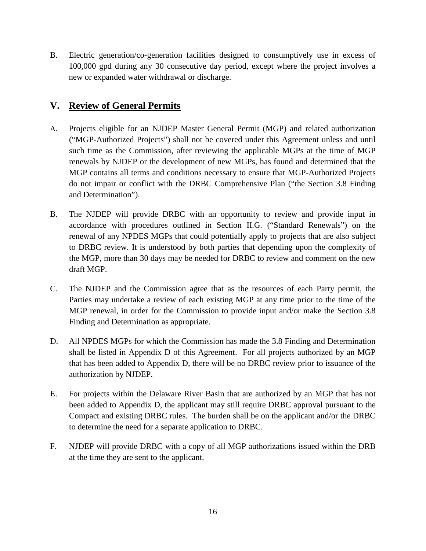B. Electric generation/co-generation facilities designed to consumptively use in excess of 100,000 gpd during any 30 consecutive day period, except where the project involves a new or expanded water withdrawal or discharge.

# **V. Review of General Permits**

- A. Projects eligible for an NJDEP Master General Permit (MGP) and related authorization ("MGP-Authorized Projects") shall not be covered under this Agreement unless and until such time as the Commission, after reviewing the applicable MGPs at the time of MGP renewals by NJDEP or the development of new MGPs, has found and determined that the MGP contains all terms and conditions necessary to ensure that MGP-Authorized Projects do not impair or conflict with the DRBC Comprehensive Plan ("the Section 3.8 Finding and Determination").
- B. The NJDEP will provide DRBC with an opportunity to review and provide input in accordance with procedures outlined in Section II.G. ("Standard Renewals") on the renewal of any NPDES MGPs that could potentially apply to projects that are also subject to DRBC review. It is understood by both parties that depending upon the complexity of the MGP, more than 30 days may be needed for DRBC to review and comment on the new draft MGP.
- C. The NJDEP and the Commission agree that as the resources of each Party permit, the Parties may undertake a review of each existing MGP at any time prior to the time of the MGP renewal, in order for the Commission to provide input and/or make the Section 3.8 Finding and Determination as appropriate.
- D. All NPDES MGPs for which the Commission has made the 3.8 Finding and Determination shall be listed in Appendix D of this Agreement. For all projects authorized by an MGP that has been added to Appendix D, there will be no DRBC review prior to issuance of the authorization by NJDEP.
- E. For projects within the Delaware River Basin that are authorized by an MGP that has not been added to Appendix D, the applicant may still require DRBC approval pursuant to the Compact and existing DRBC rules. The burden shall be on the applicant and/or the DRBC to determine the need for a separate application to DRBC.
- F. NJDEP will provide DRBC with a copy of all MGP authorizations issued within the DRB at the time they are sent to the applicant.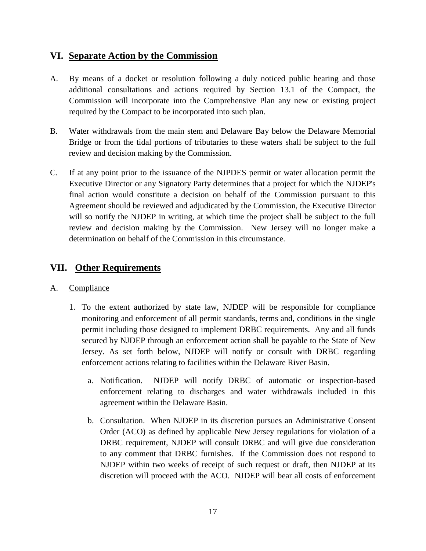# **VI. Separate Action by the Commission**

- A. By means of a docket or resolution following a duly noticed public hearing and those additional consultations and actions required by Section 13.1 of the Compact, the Commission will incorporate into the Comprehensive Plan any new or existing project required by the Compact to be incorporated into such plan.
- B. Water withdrawals from the main stem and Delaware Bay below the Delaware Memorial Bridge or from the tidal portions of tributaries to these waters shall be subject to the full review and decision making by the Commission.
- C. If at any point prior to the issuance of the NJPDES permit or water allocation permit the Executive Director or any Signatory Party determines that a project for which the NJDEP's final action would constitute a decision on behalf of the Commission pursuant to this Agreement should be reviewed and adjudicated by the Commission, the Executive Director will so notify the NJDEP in writing, at which time the project shall be subject to the full review and decision making by the Commission. New Jersey will no longer make a determination on behalf of the Commission in this circumstance.

# **VII. Other Requirements**

#### A. Compliance

- 1. To the extent authorized by state law, NJDEP will be responsible for compliance monitoring and enforcement of all permit standards, terms and, conditions in the single permit including those designed to implement DRBC requirements. Any and all funds secured by NJDEP through an enforcement action shall be payable to the State of New Jersey. As set forth below, NJDEP will notify or consult with DRBC regarding enforcement actions relating to facilities within the Delaware River Basin.
	- a. Notification. NJDEP will notify DRBC of automatic or inspection-based enforcement relating to discharges and water withdrawals included in this agreement within the Delaware Basin.
	- b. Consultation. When NJDEP in its discretion pursues an Administrative Consent Order (ACO) as defined by applicable New Jersey regulations for violation of a DRBC requirement, NJDEP will consult DRBC and will give due consideration to any comment that DRBC furnishes. If the Commission does not respond to NJDEP within two weeks of receipt of such request or draft, then NJDEP at its discretion will proceed with the ACO. NJDEP will bear all costs of enforcement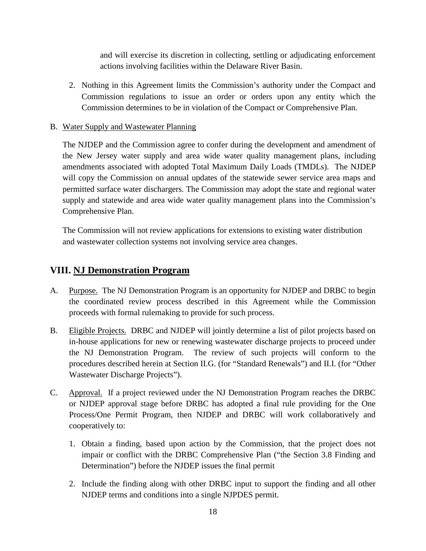and will exercise its discretion in collecting, settling or adjudicating enforcement actions involving facilities within the Delaware River Basin.

2. Nothing in this Agreement limits the Commission's authority under the Compact and Commission regulations to issue an order or orders upon any entity which the Commission determines to be in violation of the Compact or Comprehensive Plan.

#### B. Water Supply and Wastewater Planning

The NJDEP and the Commission agree to confer during the development and amendment of the New Jersey water supply and area wide water quality management plans, including amendments associated with adopted Total Maximum Daily Loads (TMDLs). The NJDEP will copy the Commission on annual updates of the statewide sewer service area maps and permitted surface water dischargers. The Commission may adopt the state and regional water supply and statewide and area wide water quality management plans into the Commission's Comprehensive Plan.

The Commission will not review applications for extensions to existing water distribution and wastewater collection systems not involving service area changes.

# **VIII. NJ Demonstration Program**

- A. Purpose. The NJ Demonstration Program is an opportunity for NJDEP and DRBC to begin the coordinated review process described in this Agreement while the Commission proceeds with formal rulemaking to provide for such process.
- B. Eligible Projects. DRBC and NJDEP will jointly determine a list of pilot projects based on in-house applications for new or renewing wastewater discharge projects to proceed under the NJ Demonstration Program. The review of such projects will conform to the procedures described herein at Section II.G. (for "Standard Renewals") and II.I. (for "Other Wastewater Discharge Projects").
- C. Approval. If a project reviewed under the NJ Demonstration Program reaches the DRBC or NJDEP approval stage before DRBC has adopted a final rule providing for the One Process/One Permit Program, then NJDEP and DRBC will work collaboratively and cooperatively to:
	- 1. Obtain a finding, based upon action by the Commission, that the project does not impair or conflict with the DRBC Comprehensive Plan ("the Section 3.8 Finding and Determination") before the NJDEP issues the final permit
	- 2. Include the finding along with other DRBC input to support the finding and all other NJDEP terms and conditions into a single NJPDES permit.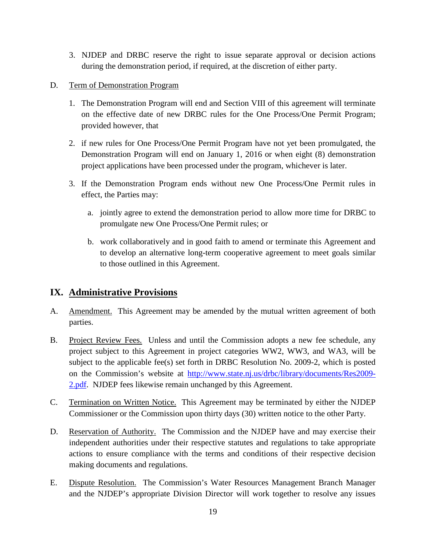- 3. NJDEP and DRBC reserve the right to issue separate approval or decision actions during the demonstration period, if required, at the discretion of either party.
- D. Term of Demonstration Program
	- 1. The Demonstration Program will end and Section VIII of this agreement will terminate on the effective date of new DRBC rules for the One Process/One Permit Program; provided however, that
	- 2. if new rules for One Process/One Permit Program have not yet been promulgated, the Demonstration Program will end on January 1, 2016 or when eight (8) demonstration project applications have been processed under the program, whichever is later.
	- 3. If the Demonstration Program ends without new One Process/One Permit rules in effect, the Parties may:
		- a. jointly agree to extend the demonstration period to allow more time for DRBC to promulgate new One Process/One Permit rules; or
		- b. work collaboratively and in good faith to amend or terminate this Agreement and to develop an alternative long-term cooperative agreement to meet goals similar to those outlined in this Agreement.

# **IX. Administrative Provisions**

- A. Amendment. This Agreement may be amended by the mutual written agreement of both parties.
- B. Project Review Fees. Unless and until the Commission adopts a new fee schedule, any project subject to this Agreement in project categories WW2, WW3, and WA3, will be subject to the applicable fee(s) set forth in DRBC Resolution No. 2009-2, which is posted on the Commission's website at [http://www.state.nj.us/drbc/library/documents/Res2009-](http://www.state.nj.us/drbc/library/documents/Res2009-2.pdf) [2.pdf](http://www.state.nj.us/drbc/library/documents/Res2009-2.pdf). NJDEP fees likewise remain unchanged by this Agreement.
- C. Termination on Written Notice. This Agreement may be terminated by either the NJDEP Commissioner or the Commission upon thirty days (30) written notice to the other Party.
- D. Reservation of Authority. The Commission and the NJDEP have and may exercise their independent authorities under their respective statutes and regulations to take appropriate actions to ensure compliance with the terms and conditions of their respective decision making documents and regulations.
- E. Dispute Resolution. The Commission's Water Resources Management Branch Manager and the NJDEP's appropriate Division Director will work together to resolve any issues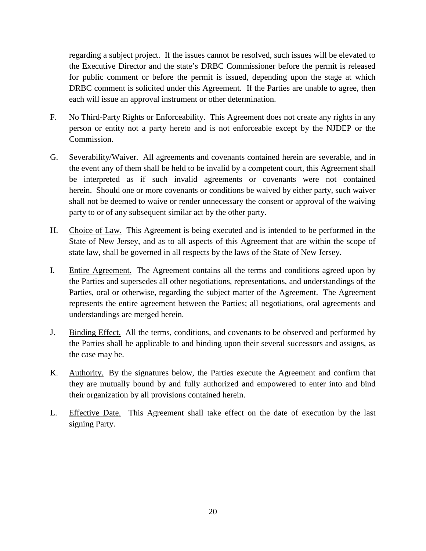regarding a subject project. If the issues cannot be resolved, such issues will be elevated to the Executive Director and the state's DRBC Commissioner before the permit is released for public comment or before the permit is issued, depending upon the stage at which DRBC comment is solicited under this Agreement. If the Parties are unable to agree, then each will issue an approval instrument or other determination.

- F. No Third-Party Rights or Enforceability. This Agreement does not create any rights in any person or entity not a party hereto and is not enforceable except by the NJDEP or the Commission.
- G. Severability/Waiver. All agreements and covenants contained herein are severable, and in the event any of them shall be held to be invalid by a competent court, this Agreement shall be interpreted as if such invalid agreements or covenants were not contained herein. Should one or more covenants or conditions be waived by either party, such waiver shall not be deemed to waive or render unnecessary the consent or approval of the waiving party to or of any subsequent similar act by the other party.
- H. Choice of Law. This Agreement is being executed and is intended to be performed in the State of New Jersey, and as to all aspects of this Agreement that are within the scope of state law, shall be governed in all respects by the laws of the State of New Jersey.
- I. Entire Agreement. The Agreement contains all the terms and conditions agreed upon by the Parties and supersedes all other negotiations, representations, and understandings of the Parties, oral or otherwise, regarding the subject matter of the Agreement. The Agreement represents the entire agreement between the Parties; all negotiations, oral agreements and understandings are merged herein.
- J. Binding Effect. All the terms, conditions, and covenants to be observed and performed by the Parties shall be applicable to and binding upon their several successors and assigns, as the case may be.
- K. Authority. By the signatures below, the Parties execute the Agreement and confirm that they are mutually bound by and fully authorized and empowered to enter into and bind their organization by all provisions contained herein.
- L. Effective Date. This Agreement shall take effect on the date of execution by the last signing Party.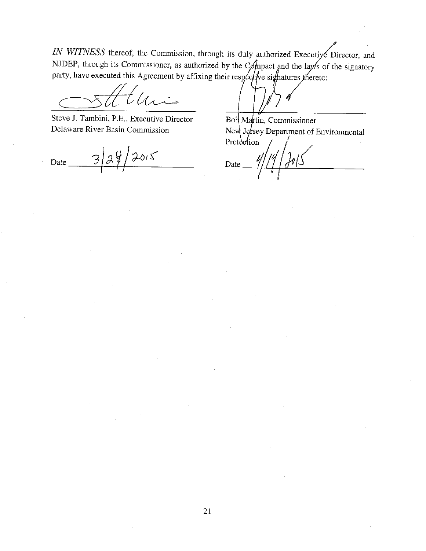IN WITNESS thereof, the Commission, through its duly authorized Executiyé Director, and NJDEP, through its Commissioner, as authorized by the Compact and the laws of the signatory party, have executed this Agreement by affixing their respective signatures thereto:

Steve J. Tambini, P.E., Executive Director Delaware River Basin Commission

 $12015$  $3|24|$ Date

Bob Martin, Commissioner New Jersey Department of Environmental

Protection Date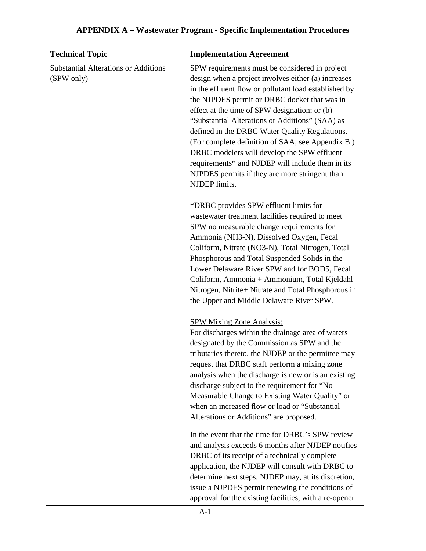# **APPENDIX A – Wastewater Program - Specific Implementation Procedures**

| <b>Technical Topic</b>                                    | <b>Implementation Agreement</b>                                                                                                                                                                                                                                                                                                                                                                                                                                                                                                                                                                 |
|-----------------------------------------------------------|-------------------------------------------------------------------------------------------------------------------------------------------------------------------------------------------------------------------------------------------------------------------------------------------------------------------------------------------------------------------------------------------------------------------------------------------------------------------------------------------------------------------------------------------------------------------------------------------------|
| <b>Substantial Alterations or Additions</b><br>(SPW only) | SPW requirements must be considered in project<br>design when a project involves either (a) increases<br>in the effluent flow or pollutant load established by<br>the NJPDES permit or DRBC docket that was in<br>effect at the time of SPW designation; or (b)<br>"Substantial Alterations or Additions" (SAA) as<br>defined in the DRBC Water Quality Regulations.<br>(For complete definition of SAA, see Appendix B.)<br>DRBC modelers will develop the SPW effluent<br>requirements* and NJDEP will include them in its<br>NJPDES permits if they are more stringent than<br>NJDEP limits. |
|                                                           | *DRBC provides SPW effluent limits for<br>wastewater treatment facilities required to meet<br>SPW no measurable change requirements for<br>Ammonia (NH3-N), Dissolved Oxygen, Fecal<br>Coliform, Nitrate (NO3-N), Total Nitrogen, Total<br>Phosphorous and Total Suspended Solids in the<br>Lower Delaware River SPW and for BOD5, Fecal<br>Coliform, Ammonia + Ammonium, Total Kjeldahl<br>Nitrogen, Nitrite+ Nitrate and Total Phosphorous in<br>the Upper and Middle Delaware River SPW.                                                                                                     |
|                                                           | <b>SPW Mixing Zone Analysis:</b><br>For discharges within the drainage area of waters<br>designated by the Commission as SPW and the<br>tributaries thereto, the NJDEP or the permittee may<br>request that DRBC staff perform a mixing zone<br>analysis when the discharge is new or is an existing<br>discharge subject to the requirement for "No<br>Measurable Change to Existing Water Quality" or<br>when an increased flow or load or "Substantial<br>Alterations or Additions" are proposed.                                                                                            |
|                                                           | In the event that the time for DRBC's SPW review<br>and analysis exceeds 6 months after NJDEP notifies<br>DRBC of its receipt of a technically complete<br>application, the NJDEP will consult with DRBC to<br>determine next steps. NJDEP may, at its discretion,<br>issue a NJPDES permit renewing the conditions of<br>approval for the existing facilities, with a re-opener                                                                                                                                                                                                                |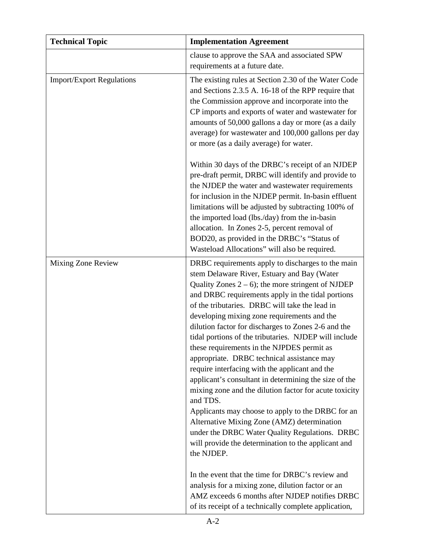| <b>Technical Topic</b>           | <b>Implementation Agreement</b>                                                                                                                                                                                                                                                                                                                                                                                                                                                                                                                                                                                                                                                                                                                                                                                                                                                                                                       |
|----------------------------------|---------------------------------------------------------------------------------------------------------------------------------------------------------------------------------------------------------------------------------------------------------------------------------------------------------------------------------------------------------------------------------------------------------------------------------------------------------------------------------------------------------------------------------------------------------------------------------------------------------------------------------------------------------------------------------------------------------------------------------------------------------------------------------------------------------------------------------------------------------------------------------------------------------------------------------------|
|                                  | clause to approve the SAA and associated SPW<br>requirements at a future date.                                                                                                                                                                                                                                                                                                                                                                                                                                                                                                                                                                                                                                                                                                                                                                                                                                                        |
| <b>Import/Export Regulations</b> | The existing rules at Section 2.30 of the Water Code<br>and Sections 2.3.5 A. 16-18 of the RPP require that<br>the Commission approve and incorporate into the<br>CP imports and exports of water and wastewater for<br>amounts of 50,000 gallons a day or more (as a daily<br>average) for wastewater and 100,000 gallons per day<br>or more (as a daily average) for water.                                                                                                                                                                                                                                                                                                                                                                                                                                                                                                                                                         |
|                                  | Within 30 days of the DRBC's receipt of an NJDEP<br>pre-draft permit, DRBC will identify and provide to<br>the NJDEP the water and wastewater requirements<br>for inclusion in the NJDEP permit. In-basin effluent<br>limitations will be adjusted by subtracting 100% of<br>the imported load (lbs./day) from the in-basin<br>allocation. In Zones 2-5, percent removal of<br>BOD20, as provided in the DRBC's "Status of<br>Wasteload Allocations" will also be required.                                                                                                                                                                                                                                                                                                                                                                                                                                                           |
| Mixing Zone Review               | DRBC requirements apply to discharges to the main<br>stem Delaware River, Estuary and Bay (Water<br>Quality Zones $2 - 6$ ; the more stringent of NJDEP<br>and DRBC requirements apply in the tidal portions<br>of the tributaries. DRBC will take the lead in<br>developing mixing zone requirements and the<br>dilution factor for discharges to Zones 2-6 and the<br>tidal portions of the tributaries. NJDEP will include<br>these requirements in the NJPDES permit as<br>appropriate. DRBC technical assistance may<br>require interfacing with the applicant and the<br>applicant's consultant in determining the size of the<br>mixing zone and the dilution factor for acute toxicity<br>and TDS.<br>Applicants may choose to apply to the DRBC for an<br>Alternative Mixing Zone (AMZ) determination<br>under the DRBC Water Quality Regulations. DRBC<br>will provide the determination to the applicant and<br>the NJDEP. |
|                                  | In the event that the time for DRBC's review and<br>analysis for a mixing zone, dilution factor or an<br>AMZ exceeds 6 months after NJDEP notifies DRBC<br>of its receipt of a technically complete application,                                                                                                                                                                                                                                                                                                                                                                                                                                                                                                                                                                                                                                                                                                                      |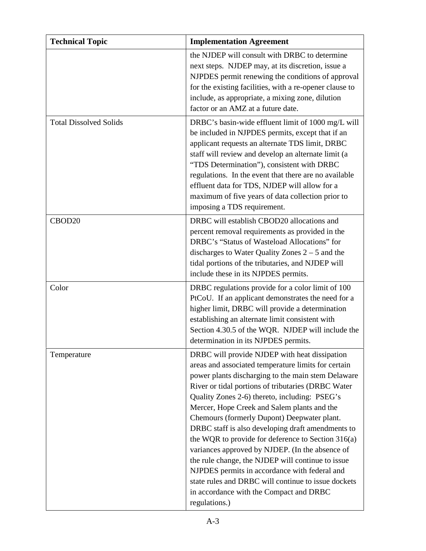| <b>Technical Topic</b>        | <b>Implementation Agreement</b>                                                                                                                                                                                                                                                                                                                                                                                                                                                                                                                                                                                                                                                                                                                          |
|-------------------------------|----------------------------------------------------------------------------------------------------------------------------------------------------------------------------------------------------------------------------------------------------------------------------------------------------------------------------------------------------------------------------------------------------------------------------------------------------------------------------------------------------------------------------------------------------------------------------------------------------------------------------------------------------------------------------------------------------------------------------------------------------------|
|                               | the NJDEP will consult with DRBC to determine<br>next steps. NJDEP may, at its discretion, issue a<br>NJPDES permit renewing the conditions of approval<br>for the existing facilities, with a re-opener clause to<br>include, as appropriate, a mixing zone, dilution<br>factor or an AMZ at a future date.                                                                                                                                                                                                                                                                                                                                                                                                                                             |
| <b>Total Dissolved Solids</b> | DRBC's basin-wide effluent limit of 1000 mg/L will<br>be included in NJPDES permits, except that if an<br>applicant requests an alternate TDS limit, DRBC<br>staff will review and develop an alternate limit (a<br>"TDS Determination"), consistent with DRBC<br>regulations. In the event that there are no available<br>effluent data for TDS, NJDEP will allow for a<br>maximum of five years of data collection prior to<br>imposing a TDS requirement.                                                                                                                                                                                                                                                                                             |
| CBOD <sub>20</sub>            | DRBC will establish CBOD20 allocations and<br>percent removal requirements as provided in the<br>DRBC's "Status of Wasteload Allocations" for<br>discharges to Water Quality Zones $2 - 5$ and the<br>tidal portions of the tributaries, and NJDEP will<br>include these in its NJPDES permits.                                                                                                                                                                                                                                                                                                                                                                                                                                                          |
| Color                         | DRBC regulations provide for a color limit of 100<br>PtCoU. If an applicant demonstrates the need for a<br>higher limit, DRBC will provide a determination<br>establishing an alternate limit consistent with<br>Section 4.30.5 of the WQR. NJDEP will include the<br>determination in its NJPDES permits.                                                                                                                                                                                                                                                                                                                                                                                                                                               |
| Temperature                   | DRBC will provide NJDEP with heat dissipation<br>areas and associated temperature limits for certain<br>power plants discharging to the main stem Delaware<br>River or tidal portions of tributaries (DRBC Water<br>Quality Zones 2-6) thereto, including: PSEG's<br>Mercer, Hope Creek and Salem plants and the<br>Chemours (formerly Dupont) Deepwater plant.<br>DRBC staff is also developing draft amendments to<br>the WQR to provide for deference to Section $316(a)$<br>variances approved by NJDEP. (In the absence of<br>the rule change, the NJDEP will continue to issue<br>NJPDES permits in accordance with federal and<br>state rules and DRBC will continue to issue dockets<br>in accordance with the Compact and DRBC<br>regulations.) |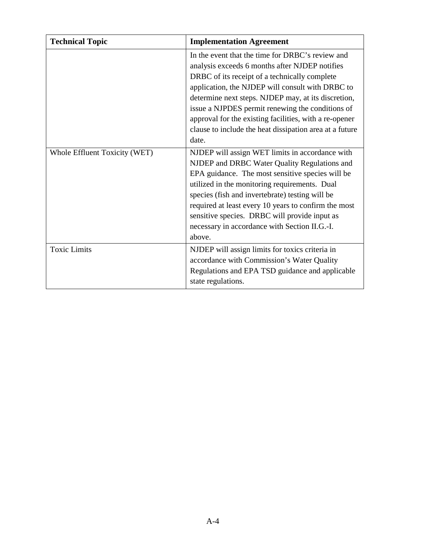| <b>Technical Topic</b>        | <b>Implementation Agreement</b>                                                                                                                                                                                                                                                                                                                                                                                                                  |
|-------------------------------|--------------------------------------------------------------------------------------------------------------------------------------------------------------------------------------------------------------------------------------------------------------------------------------------------------------------------------------------------------------------------------------------------------------------------------------------------|
|                               | In the event that the time for DRBC's review and<br>analysis exceeds 6 months after NJDEP notifies<br>DRBC of its receipt of a technically complete<br>application, the NJDEP will consult with DRBC to<br>determine next steps. NJDEP may, at its discretion,<br>issue a NJPDES permit renewing the conditions of<br>approval for the existing facilities, with a re-opener<br>clause to include the heat dissipation area at a future<br>date. |
| Whole Effluent Toxicity (WET) | NJDEP will assign WET limits in accordance with<br>NJDEP and DRBC Water Quality Regulations and<br>EPA guidance. The most sensitive species will be<br>utilized in the monitoring requirements. Dual<br>species (fish and invertebrate) testing will be<br>required at least every 10 years to confirm the most<br>sensitive species. DRBC will provide input as<br>necessary in accordance with Section II.G.-I.<br>above.                      |
| <b>Toxic Limits</b>           | NJDEP will assign limits for toxics criteria in<br>accordance with Commission's Water Quality<br>Regulations and EPA TSD guidance and applicable<br>state regulations.                                                                                                                                                                                                                                                                           |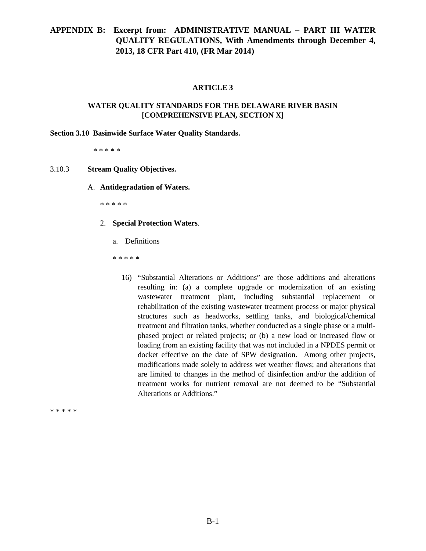#### **APPENDIX B: Excerpt from: ADMINISTRATIVE MANUAL – PART III WATER QUALITY REGULATIONS, With Amendments through December 4, 2013, 18 CFR Part 410, (FR Mar 2014)**

#### **ARTICLE 3**

#### **WATER QUALITY STANDARDS FOR THE DELAWARE RIVER BASIN [COMPREHENSIVE PLAN, SECTION X]**

#### **Section 3.10 Basinwide Surface Water Quality Standards.**

\* \* \* \* \*

#### 3.10.3 **Stream Quality Objectives.**

A. **Antidegradation of Waters.**

\* \* \* \* \*

- 2. **Special Protection Waters**.
	- a. Definitions

\* \* \* \* \*

16) "Substantial Alterations or Additions" are those additions and alterations resulting in: (a) a complete upgrade or modernization of an existing wastewater treatment plant, including substantial replacement or rehabilitation of the existing wastewater treatment process or major physical structures such as headworks, settling tanks, and biological/chemical treatment and filtration tanks, whether conducted as a single phase or a multiphased project or related projects; or (b) a new load or increased flow or loading from an existing facility that was not included in a NPDES permit or docket effective on the date of SPW designation. Among other projects, modifications made solely to address wet weather flows; and alterations that are limited to changes in the method of disinfection and/or the addition of treatment works for nutrient removal are not deemed to be "Substantial Alterations or Additions."

\* \* \* \* \*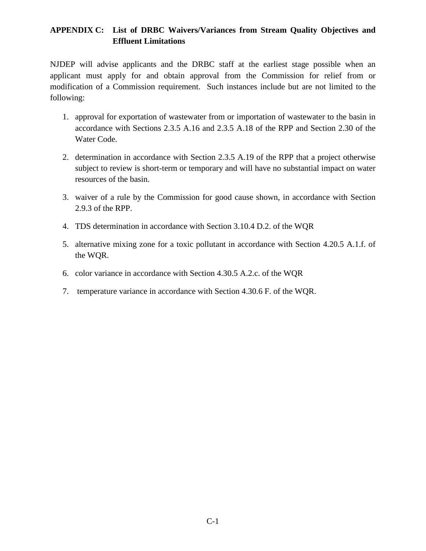# **APPENDIX C: List of DRBC Waivers/Variances from Stream Quality Objectives and Effluent Limitations**

NJDEP will advise applicants and the DRBC staff at the earliest stage possible when an applicant must apply for and obtain approval from the Commission for relief from or modification of a Commission requirement. Such instances include but are not limited to the following:

- 1. approval for exportation of wastewater from or importation of wastewater to the basin in accordance with Sections 2.3.5 A.16 and 2.3.5 A.18 of the RPP and Section 2.30 of the Water Code.
- 2. determination in accordance with Section 2.3.5 A.19 of the RPP that a project otherwise subject to review is short-term or temporary and will have no substantial impact on water resources of the basin.
- 3. waiver of a rule by the Commission for good cause shown, in accordance with Section 2.9.3 of the RPP.
- 4. TDS determination in accordance with Section 3.10.4 D.2. of the WQR
- 5. alternative mixing zone for a toxic pollutant in accordance with Section 4.20.5 A.1.f. of the WQR.
- 6. color variance in accordance with Section 4.30.5 A.2.c. of the WQR
- 7. temperature variance in accordance with Section 4.30.6 F. of the WQR.